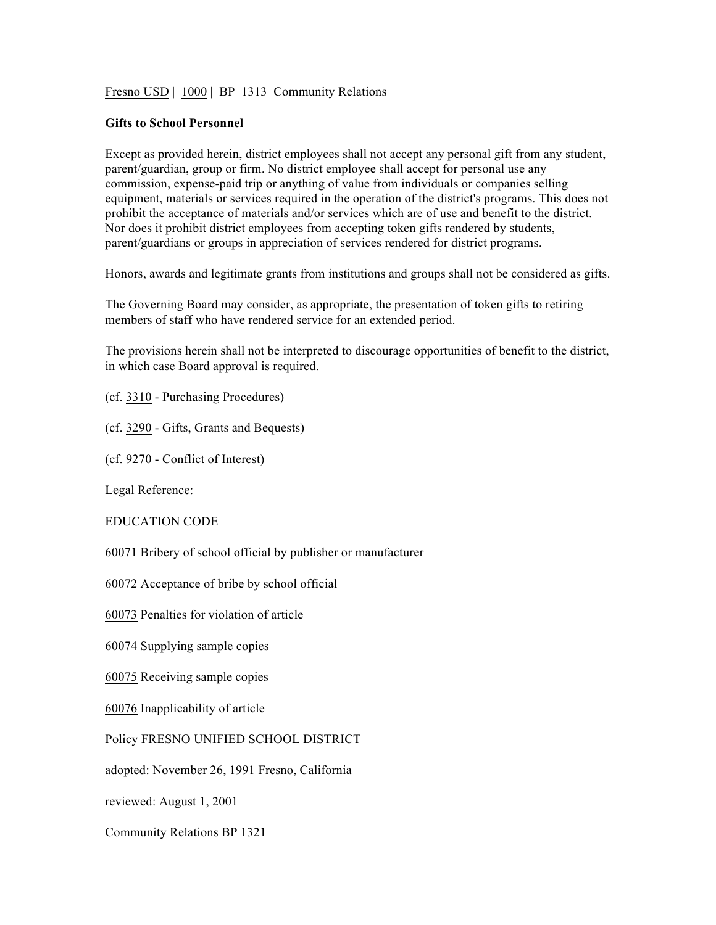Fresno USD | 1000 | BP 1313 Community Relations

## **Gifts to School Personnel**

Except as provided herein, district employees shall not accept any personal gift from any student, parent/guardian, group or firm. No district employee shall accept for personal use any commission, expense-paid trip or anything of value from individuals or companies selling equipment, materials or services required in the operation of the district's programs. This does not prohibit the acceptance of materials and/or services which are of use and benefit to the district. Nor does it prohibit district employees from accepting token gifts rendered by students, parent/guardians or groups in appreciation of services rendered for district programs.

Honors, awards and legitimate grants from institutions and groups shall not be considered as gifts.

The Governing Board may consider, as appropriate, the presentation of token gifts to retiring members of staff who have rendered service for an extended period.

The provisions herein shall not be interpreted to discourage opportunities of benefit to the district, in which case Board approval is required.

(cf. 3310 - Purchasing Procedures)

(cf. 3290 - Gifts, Grants and Bequests)

(cf. 9270 - Conflict of Interest)

Legal Reference:

EDUCATION CODE

60071 Bribery of school official by publisher or manufacturer

60072 Acceptance of bribe by school official

60073 Penalties for violation of article

60074 Supplying sample copies

60075 Receiving sample copies

60076 Inapplicability of article

Policy FRESNO UNIFIED SCHOOL DISTRICT

adopted: November 26, 1991 Fresno, California

reviewed: August 1, 2001

Community Relations BP 1321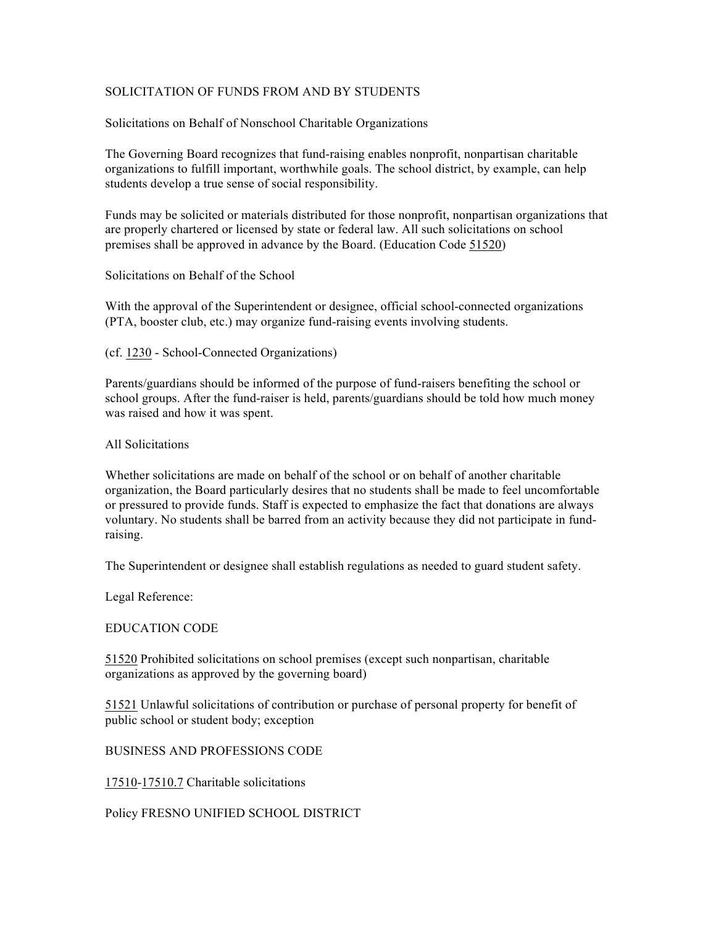## SOLICITATION OF FUNDS FROM AND BY STUDENTS

Solicitations on Behalf of Nonschool Charitable Organizations

The Governing Board recognizes that fund-raising enables nonprofit, nonpartisan charitable organizations to fulfill important, worthwhile goals. The school district, by example, can help students develop a true sense of social responsibility.

Funds may be solicited or materials distributed for those nonprofit, nonpartisan organizations that are properly chartered or licensed by state or federal law. All such solicitations on school premises shall be approved in advance by the Board. (Education Code 51520)

Solicitations on Behalf of the School

With the approval of the Superintendent or designee, official school-connected organizations (PTA, booster club, etc.) may organize fund-raising events involving students.

(cf. 1230 - School-Connected Organizations)

Parents/guardians should be informed of the purpose of fund-raisers benefiting the school or school groups. After the fund-raiser is held, parents/guardians should be told how much money was raised and how it was spent.

All Solicitations

Whether solicitations are made on behalf of the school or on behalf of another charitable organization, the Board particularly desires that no students shall be made to feel uncomfortable or pressured to provide funds. Staff is expected to emphasize the fact that donations are always voluntary. No students shall be barred from an activity because they did not participate in fundraising.

The Superintendent or designee shall establish regulations as needed to guard student safety.

Legal Reference:

EDUCATION CODE

51520 Prohibited solicitations on school premises (except such nonpartisan, charitable organizations as approved by the governing board)

51521 Unlawful solicitations of contribution or purchase of personal property for benefit of public school or student body; exception

BUSINESS AND PROFESSIONS CODE

17510-17510.7 Charitable solicitations

Policy FRESNO UNIFIED SCHOOL DISTRICT